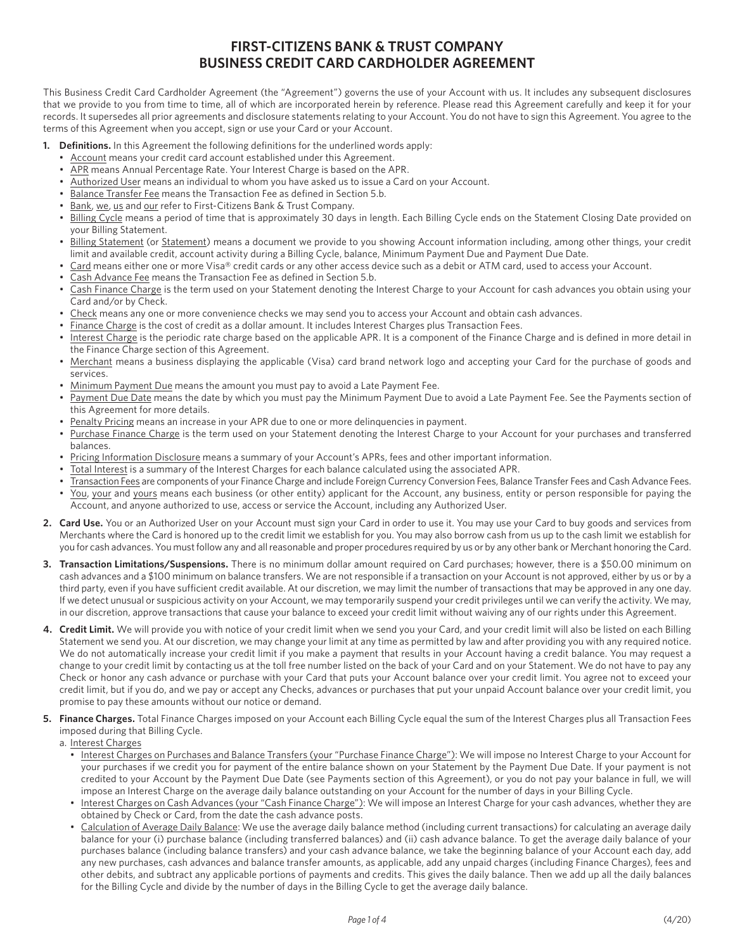## **FIRST-CITIZENS BANK & TRUST COMPANY BUSINESS CREDIT CARD CARDHOLDER AGREEMENT**

This Business Credit Card Cardholder Agreement (the "Agreement") governs the use of your Account with us. It includes any subsequent disclosures that we provide to you from time to time, all of which are incorporated herein by reference. Please read this Agreement carefully and keep it for your records. It supersedes all prior agreements and disclosure statements relating to your Account. You do not have to sign this Agreement. You agree to the terms of this Agreement when you accept, sign or use your Card or your Account.

- **1. Definitions.** In this Agreement the following definitions for the underlined words apply:
	- Account means your credit card account established under this Agreement. •
	- APR means Annual Percentage Rate. Your Interest Charge is based on the APR.
	- Authorized User means an individual to whom you have asked us to issue a Card on your Account.
	- Balance Transfer Fee means the Transaction Fee as defined in Section 5.b.
	- Bank, we, us and our refer to First-Citizens Bank & Trust Company.
	- Billing Cycle means a period of time that is approximately 30 days in length. Each Billing Cycle ends on the Statement Closing Date provided on your Billing Statement.
	- Billing Statement (or Statement) means a document we provide to you showing Account information including, among other things, your credit limit and available credit, account activity during a Billing Cycle, balance, Minimum Payment Due and Payment Due Date.
	- Card means either one or more Visa® credit cards or any other access device such as a debit or ATM card, used to access your Account.
	- Cash Advance Fee means the Transaction Fee as defined in Section 5.b.
	- Cash Finance Charge is the term used on your Statement denoting the Interest Charge to your Account for cash advances you obtain using your Card and/or by Check.
	- Check means any one or more convenience checks we may send you to access your Account and obtain cash advances.
	- Finance Charge is the cost of credit as a dollar amount. It includes Interest Charges plus Transaction Fees.
	- Interest Charge is the periodic rate charge based on the applicable APR. It is a component of the Finance Charge and is defined in more detail in the Finance Charge section of this Agreement.
	- Merchant means a business displaying the applicable (Visa) card brand network logo and accepting your Card for the purchase of goods and services.
	- Minimum Payment Due means the amount you must pay to avoid a Late Payment Fee.
	- Payment Due Date means the date by which you must pay the Minimum Payment Due to avoid a Late Payment Fee. See the Payments section of this Agreement for more details.
	- Penalty Pricing means an increase in your APR due to one or more delinquencies in payment.
	- Purchase Finance Charge is the term used on your Statement denoting the Interest Charge to your Account for your purchases and transferred balances.
	- Pricing Information Disclosure means a summary of your Account's APRs, fees and other important information.
	- Total Interest is a summary of the Interest Charges for each balance calculated using the associated APR.
	- Transaction Fees are components of your Finance Charge and include Foreign Currency Conversion Fees, Balance Transfer Fees and Cash Advance Fees. • You, your and yours means each business (or other entity) applicant for the Account, any business, entity or person responsible for paying the Account, and anyone authorized to use, access or service the Account, including any Authorized User.
- **2. Card Use.** You or an Authorized User on your Account must sign your Card in order to use it. You may use your Card to buy goods and services from Merchants where the Card is honored up to the credit limit we establish for you. You may also borrow cash from us up to the cash limit we establish for you for cash advances. You must follow any and all reasonable and proper procedures required by us or by any other bank or Merchant honoring the Card.
- **3. Transaction Limitations/Suspensions.** There is no minimum dollar amount required on Card purchases; however, there is a \$50.00 minimum on cash advances and a \$100 minimum on balance transfers. We are not responsible if a transaction on your Account is not approved, either by us or by a third party, even if you have sufficient credit available. At our discretion, we may limit the number of transactions that may be approved in any one day. If we detect unusual or suspicious activity on your Account, we may temporarily suspend your credit privileges until we can verify the activity. We may, in our discretion, approve transactions that cause your balance to exceed your credit limit without waiving any of our rights under this Agreement.
- **4. Credit Limit.** We will provide you with notice of your credit limit when we send you your Card, and your credit limit will also be listed on each Billing Statement we send you. At our discretion, we may change your limit at any time as permitted by law and after providing you with any required notice. We do not automatically increase your credit limit if you make a payment that results in your Account having a credit balance. You may request a change to your credit limit by contacting us at the toll free number listed on the back of your Card and on your Statement. We do not have to pay any Check or honor any cash advance or purchase with your Card that puts your Account balance over your credit limit. You agree not to exceed your credit limit, but if you do, and we pay or accept any Checks, advances or purchases that put your unpaid Account balance over your credit limit, you promise to pay these amounts without our notice or demand.
- **5. Finance Charges.** Total Finance Charges imposed on your Account each Billing Cycle equal the sum of the Interest Charges plus all Transaction Fees imposed during that Billing Cycle.

a. Interest Charges

- Interest Charges on Purchases and Balance Transfers (your "Purchase Finance Charge"): We will impose no Interest Charge to your Account for your purchases if we credit you for payment of the entire balance shown on your Statement by the Payment Due Date. If your payment is not credited to your Account by the Payment Due Date (see Payments section of this Agreement), or you do not pay your balance in full, we will impose an Interest Charge on the average daily balance outstanding on your Account for the number of days in your Billing Cycle.
- Interest Charges on Cash Advances (your "Cash Finance Charge"): We will impose an Interest Charge for your cash advances, whether they are obtained by Check or Card, from the date the cash advance posts.
- Calculation of Average Daily Balance: We use the average daily balance method (including current transactions) for calculating an average daily balance for your (i) purchase balance (including transferred balances) and (ii) cash advance balance. To get the average daily balance of your purchases balance (including balance transfers) and your cash advance balance, we take the beginning balance of your Account each day, add any new purchases, cash advances and balance transfer amounts, as applicable, add any unpaid charges (including Finance Charges), fees and other debits, and subtract any applicable portions of payments and credits. This gives the daily balance. Then we add up all the daily balances for the Billing Cycle and divide by the number of days in the Billing Cycle to get the average daily balance.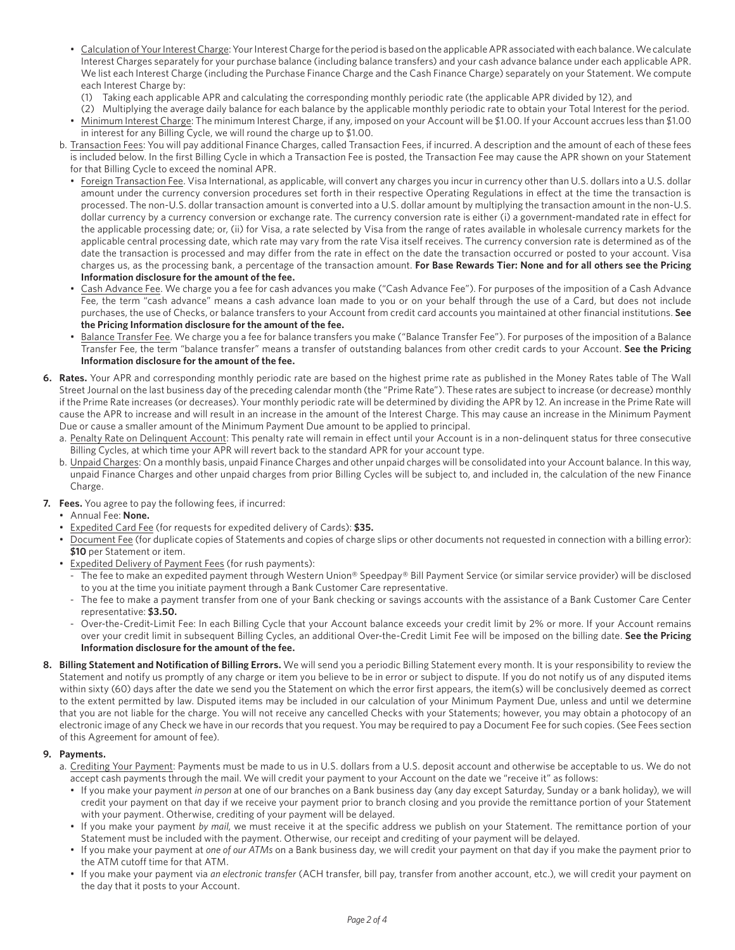- Calculation of Your Interest Charge: Your Interest Charge for the period is based on the applicable APR associated with each balance. We calculate Interest Charges separately for your purchase balance (including balance transfers) and your cash advance balance under each applicable APR. We list each Interest Charge (including the Purchase Finance Charge and the Cash Finance Charge) separately on your Statement. We compute each Interest Charge by:
	- (1) Taking each applicable APR and calculating the corresponding monthly periodic rate (the applicable APR divided by 12), and
- (2) Multiplying the average daily balance for each balance by the applicable monthly periodic rate to obtain your Total Interest for the period. • Minimum Interest Charge: The minimum Interest Charge, if any, imposed on your Account will be \$1.00. If your Account accrues less than \$1.00 in interest for any Billing Cycle, we will round the charge up to \$1.00.
- b. Transaction Fees: You will pay additional Finance Charges, called Transaction Fees, if incurred. A description and the amount of each of these fees is included below. In the first Billing Cycle in which a Transaction Fee is posted, the Transaction Fee may cause the APR shown on your Statement for that Billing Cycle to exceed the nominal APR.
	- Foreign Transaction Fee. Visa International, as applicable, will convert any charges you incur in currency other than U.S. dollars into a U.S. dollar amount under the currency conversion procedures set forth in their respective Operating Regulations in effect at the time the transaction is processed. The non-U.S. dollar transaction amount is converted into a U.S. dollar amount by multiplying the transaction amount in the non-U.S. dollar currency by a currency conversion or exchange rate. The currency conversion rate is either (i) a government-mandated rate in effect for the applicable processing date; or, (ii) for Visa, a rate selected by Visa from the range of rates available in wholesale currency markets for the applicable central processing date, which rate may vary from the rate Visa itself receives. The currency conversion rate is determined as of the date the transaction is processed and may differ from the rate in effect on the date the transaction occurred or posted to your account. Visa charges us, as the processing bank, a percentage of the transaction amount. **For Base Rewards Tier: None and for all others see the Pricing Information disclosure for the amount of the fee.**
	- Cash Advance Fee. We charge you a fee for cash advances you make ("Cash Advance Fee"). For purposes of the imposition of a Cash Advance Fee, the term "cash advance" means a cash advance loan made to you or on your behalf through the use of a Card, but does not include purchases, the use of Checks, or balance transfers to your Account from credit card accounts you maintained at other financial institutions. **See the Pricing Information disclosure for the amount of the fee.**
	- Balance Transfer Fee. We charge you a fee for balance transfers you make ("Balance Transfer Fee"). For purposes of the imposition of a Balance Transfer Fee, the term "balance transfer" means a transfer of outstanding balances from other credit cards to your Account. **See the Pricing Information disclosure for the amount of the fee.**
- **6. Rates.** Your APR and corresponding monthly periodic rate are based on the highest prime rate as published in the Money Rates table of The Wall Street Journal on the last business day of the preceding calendar month (the "Prime Rate"). These rates are subject to increase (or decrease) monthly if the Prime Rate increases (or decreases). Your monthly periodic rate will be determined by dividing the APR by 12. An increase in the Prime Rate will cause the APR to increase and will result in an increase in the amount of the Interest Charge. This may cause an increase in the Minimum Payment Due or cause a smaller amount of the Minimum Payment Due amount to be applied to principal.
	- a. Penalty Rate on Delinquent Account: This penalty rate will remain in effect until your Account is in a non-delinquent status for three consecutive Billing Cycles, at which time your APR will revert back to the standard APR for your account type.
	- b. Unpaid Charges: On a monthly basis, unpaid Finance Charges and other unpaid charges will be consolidated into your Account balance. In this way, unpaid Finance Charges and other unpaid charges from prior Billing Cycles will be subject to, and included in, the calculation of the new Finance Charge.
- **7. Fees.** You agree to pay the following fees, if incurred:
	- Annual Fee: **None.**
	- Expedited Card Fee (for requests for expedited delivery of Cards): **\$35.**
	- Document Fee (for duplicate copies of Statements and copies of charge slips or other documents not requested in connection with a billing error): **\$10** per Statement or item.
	- Expedited Delivery of Payment Fees (for rush payments):
		- The fee to make an expedited payment through Western Union® Speedpay® Bill Payment Service (or similar service provider) will be disclosed to you at the time you initiate payment through a Bank Customer Care representative.
		- The fee to make a payment transfer from one of your Bank checking or savings accounts with the assistance of a Bank Customer Care Center representative: **\$3.50.**
		- Over-the-Credit-Limit Fee: In each Billing Cycle that your Account balance exceeds your credit limit by 2% or more. If your Account remains over your credit limit in subsequent Billing Cycles, an additional Over-the-Credit Limit Fee will be imposed on the billing date. **See the Pricing Information disclosure for the amount of the fee.**
- 8. Billing Statement and Notification of Billing Errors. We will send you a periodic Billing Statement every month. It is your responsibility to review the Statement and notify us promptly of any charge or item you believe to be in error or subject to dispute. If you do not notify us of any disputed items within sixty (60) days after the date we send you the Statement on which the error first appears, the item(s) will be conclusively deemed as correct to the extent permitted by law. Disputed items may be included in our calculation of your Minimum Payment Due, unless and until we determine that you are not liable for the charge. You will not receive any cancelled Checks with your Statements; however, you may obtain a photocopy of an electronic image of any Check we have in our records that you request. You may be required to pay a Document Fee for such copies. (See Fees section of this Agreement for amount of fee).

## **9. Payments.**

- a. Crediting Your Payment: Payments must be made to us in U.S. dollars from a U.S. deposit account and otherwise be acceptable to us. We do not accept cash payments through the mail. We will credit your payment to your Account on the date we "receive it" as follows:
	- If you make your payment *in person* at one of our branches on a Bank business day (any day except Saturday, Sunday or a bank holiday), we will credit your payment on that day if we receive your payment prior to branch closing and you provide the remittance portion of your Statement with your payment. Otherwise, crediting of your payment will be delayed.
	- If you make your payment *by mail*, we must receive it at the specific address we publish on your Statement. The remittance portion of your Statement must be included with the payment. Otherwise, our receipt and crediting of your payment will be delayed.
	- If you make your payment at *one of our ATMs* on a Bank business day, we will credit your payment on that day if you make the payment prior to the ATM cutoff time for that ATM.
	- If you make your payment via *an electronic transfer* (ACH transfer, bill pay, transfer from another account, etc.), we will credit your payment on the day that it posts to your Account.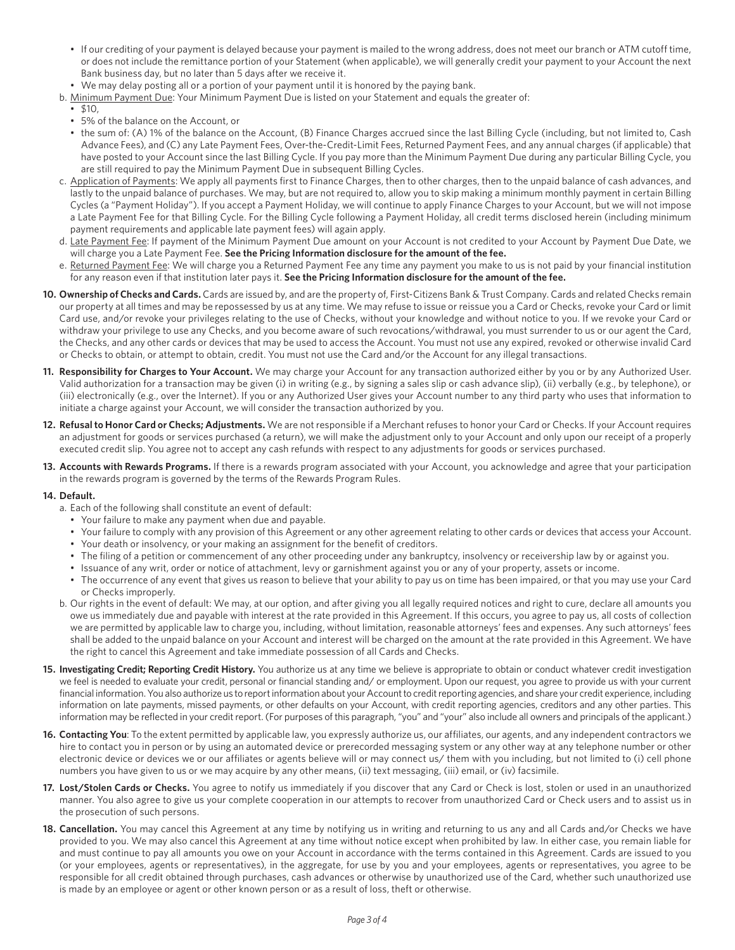- If our crediting of your payment is delayed because your payment is mailed to the wrong address, does not meet our branch or ATM cutoff time, or does not include the remittance portion of your Statement (when applicable), we will generally credit your payment to your Account the next Bank business day, but no later than 5 days after we receive it.
- We may delay posting all or a portion of your payment until it is honored by the paying bank.
- b. Minimum Payment Due: Your Minimum Payment Due is listed on your Statement and equals the greater of:
- $510$
- 5% of the balance on the Account, or
- the sum of: (A) 1% of the balance on the Account, (B) Finance Charges accrued since the last Billing Cycle (including, but not limited to, Cash Advance Fees), and (C) any Late Payment Fees, Over-the-Credit-Limit Fees, Returned Payment Fees, and any annual charges (if applicable) that have posted to your Account since the last Billing Cycle. If you pay more than the Minimum Payment Due during any particular Billing Cycle, you are still required to pay the Minimum Payment Due in subsequent Billing Cycles.
- c. Application of Payments: We apply all payments first to Finance Charges, then to other charges, then to the unpaid balance of cash advances, and lastly to the unpaid balance of purchases. We may, but are not required to, allow you to skip making a minimum monthly payment in certain Billing Cycles (a "Payment Holiday"). If you accept a Payment Holiday, we will continue to apply Finance Charges to your Account, but we will not impose a Late Payment Fee for that Billing Cycle. For the Billing Cycle following a Payment Holiday, all credit terms disclosed herein (including minimum payment requirements and applicable late payment fees) will again apply.
- will charge you a Late Payment Fee. **See the Pricing Information disclosure for the amount of the fee.** d. Late Payment Fee: If payment of the Minimum Payment Due amount on your Account is not credited to your Account by Payment Due Date, we
- for any reason even if that institution later pays it. See the Pricing Information disclosure for the amount of the fee. e. Returned Payment Fee: We will charge you a Returned Payment Fee any time any payment you make to us is not paid by your financial institution
- **10. Ownership of Checks and Cards.** Cards are issued by, and are the property of, First-Citizens Bank & Trust Company. Cards and related Checks remain our property at all times and may be repossessed by us at any time. We may refuse to issue or reissue you a Card or Checks, revoke your Card or limit Card use, and/or revoke your privileges relating to the use of Checks, without your knowledge and without notice to you. If we revoke your Card or withdraw your privilege to use any Checks, and you become aware of such revocations/withdrawal, you must surrender to us or our agent the Card, the Checks, and any other cards or devices that may be used to access the Account. You must not use any expired, revoked or otherwise invalid Card or Checks to obtain, or attempt to obtain, credit. You must not use the Card and/or the Account for any illegal transactions.
- **11. Responsibility for Charges to Your Account.** We may charge your Account for any transaction authorized either by you or by any Authorized User. Valid authorization for a transaction may be given (i) in writing (e.g., by signing a sales slip or cash advance slip), (ii) verbally (e.g., by telephone), or (iii) electronically (e.g., over the Internet). If you or any Authorized User gives your Account number to any third party who uses that information to initiate a charge against your Account, we will consider the transaction authorized by you.
- 12. Refusal to Honor Card or Checks; Adjustments. We are not responsible if a Merchant refuses to honor your Card or Checks. If your Account requires an adjustment for goods or services purchased (a return), we will make the adjustment only to your Account and only upon our receipt of a properly an adjustment for goods or services purchased (a return), we will make the adjustment only to your Account and only upon our receipt of a properly<br>executed credit slip. You agree not to accept any cash refunds with respect executed credit slip. You agree not to accept any cash refunds with respect to any adjustments for goods or services purchased.
- in the rewards program is governed by the terms of the Rewards Program Rules.

## **14. Default.**

- a. Each of the following shall constitute an event of default:
	- Your failure to make any payment when due and payable.
	- Your failure to comply with any provision of this Agreement or any other agreement relating to other cards or devices that access your Account.
	- Your death or insolvency, or your making an assignment for the benefit of creditors.
	- The filing of a petition or commencement of any other proceeding under any bankruptcy, insolvency or receivership law by or against you.
	- Issuance of any writ, order or notice of attachment, levy or garnishment against you or any of your property, assets or income.
	- The occurrence of any event that gives us reason to believe that your ability to pay us on time has been impaired, or that you may use your Card or Checks improperly.
- b. Our rights in the event of default: We may, at our option, and after giving you all legally required notices and right to cure, declare all amounts you owe us immediately due and payable with interest at the rate provided in this Agreement. If this occurs, you agree to pay us, all costs of collection we are permitted by applicable law to charge you, including, without limitation, reasonable attorneys' fees and expenses. Any such attorneys' fees shall be added to the unpaid balance on your Account and interest will be charged on the amount at the rate provided in this Agreement. We have the right to cancel this Agreement and take immediate possession of all Cards and Checks.
- 15. Investigating Credit; Reporting Credit History. You authorize us at any time we believe is appropriate to obtain or conduct whatever credit investigation financial information. You also authorize us to report information about your Account to credit reporting agencies, and share your credit experience, including we feel is needed to evaluate your credit, personal or financial standing and/ or employment. Upon our request, you agree to provide us with your current information on late payments, missed payments, or other defaults on your Account, with credit reporting agencies, creditors and any other parties. This information may be reflected in your credit report. (For purposes of this paragraph, "you" and "your" also include all owners and principals of the applicant.)
- **16. Contacting You**: To the extent permitted by applicable law, you expressly authorize us, our affiliates, our agents, and any independent contractors we hire to contact you in person or by using an automated device or prerecorded messaging system or any other way at any telephone number or other electronic device or devices we or our affiliates or agents believe will or may connect us/ them with you including, but not limited to (i) cell phone numbers you have given to us or we may acquire by any other means, (ii) text messaging, (iii) email, or (iv) facsimile.
- 17. Lost/Stolen Cards or Checks. You agree to notify us immediately if you discover that any Card or Check is lost, stolen or used in an unauthorized manner. You also agree to give us your complete cooperation in our attempts to recover from unauthorized Card or Check users and to assist us in the prosecution of such persons.
- **18. Cancellation.** You may cancel this Agreement at any time by notifying us in writing and returning to us any and all Cards and/or Checks we have provided to you. We may also cancel this Agreement at any time without notice except when prohibited by law. In either case, you remain liable for and must continue to pay all amounts you owe on your Account in accordance with the terms contained in this Agreement. Cards are issued to you (or your employees, agents or representatives), in the aggregate, for use by you and your employees, agents or representatives, you agree to be responsible for all credit obtained through purchases, cash advances or otherwise by unauthorized use of the Card, whether such unauthorized use is made by an employee or agent or other known person or as a result of loss, theft or otherwise.